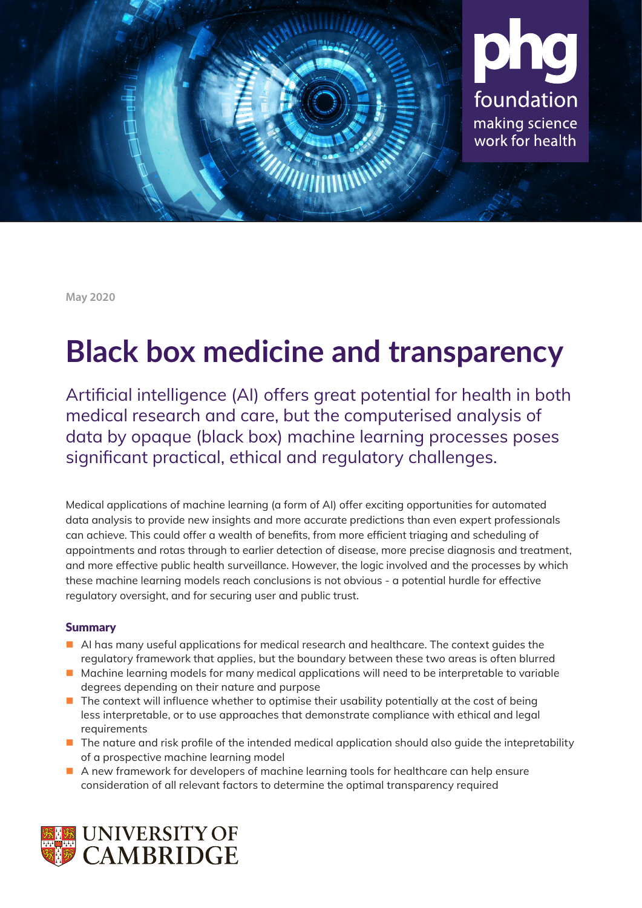

**May 2020**

# **Black box medicine and transparency**

Artificial intelligence (AI) offers great potential for health in both medical research and care, but the computerised analysis of data by opaque (black box) machine learning processes poses significant practical, ethical and regulatory challenges.

Medical applications of machine learning (a form of AI) offer exciting opportunities for automated data analysis to provide new insights and more accurate predictions than even expert professionals can achieve. This could offer a wealth of benefits, from more efficient triaging and scheduling of appointments and rotas through to earlier detection of disease, more precise diagnosis and treatment, and more effective public health surveillance. However, the logic involved and the processes by which these machine learning models reach conclusions is not obvious - a potential hurdle for effective regulatory oversight, and for securing user and public trust.

## Summary

- AI has many useful applications for medical research and healthcare. The context quides the regulatory framework that applies, but the boundary between these two areas is often blurred
- **Machine learning models for many medical applications will need to be interpretable to variable** degrees depending on their nature and purpose
- $\blacksquare$  The context will influence whether to optimise their usability potentially at the cost of being less interpretable, or to use approaches that demonstrate compliance with ethical and legal requirements
- The nature and risk profile of the intended medical application should also guide the intepretability of a prospective machine learning model
- A new framework for developers of machine learning tools for healthcare can help ensure consideration of all relevant factors to determine the optimal transparency required